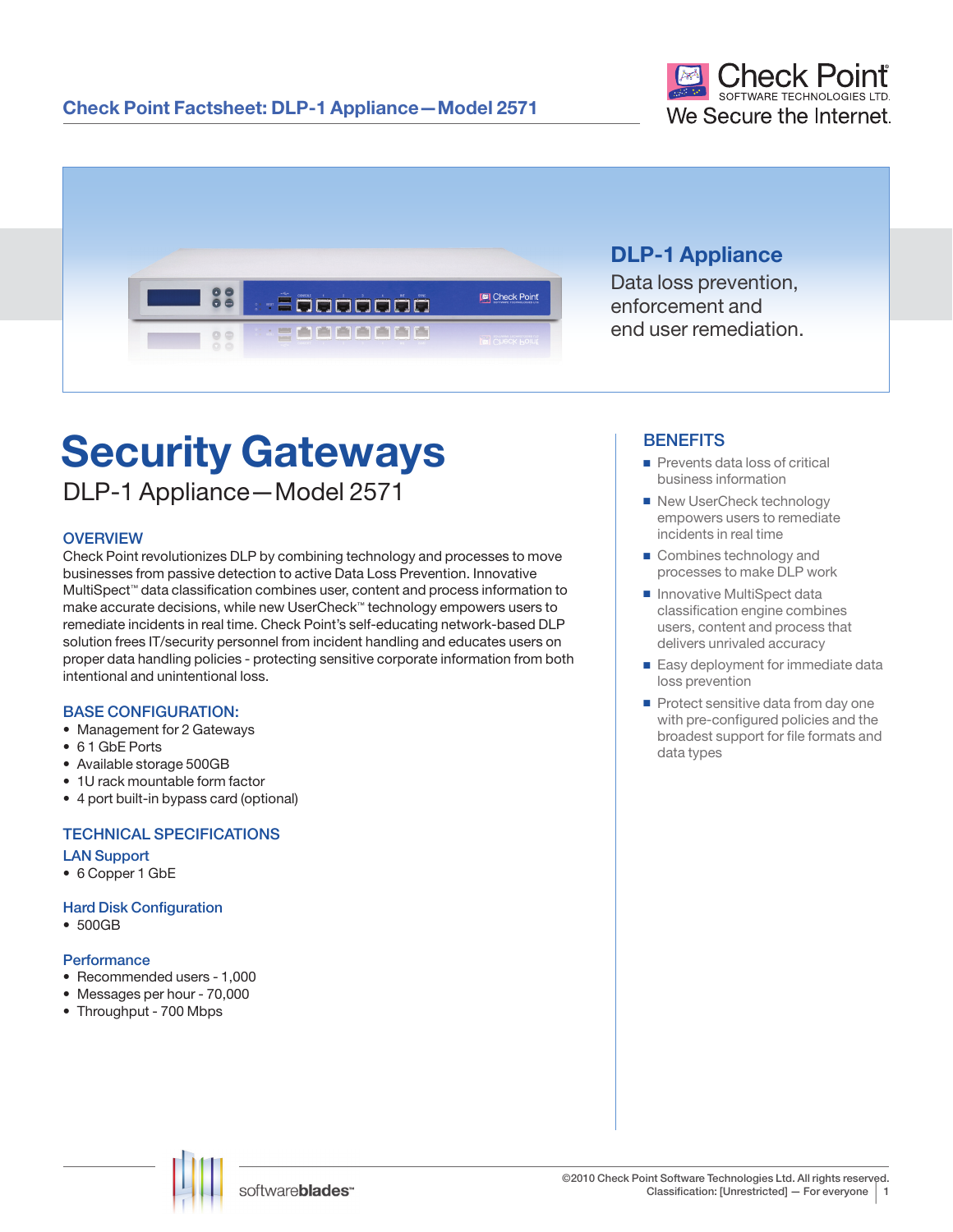



## **DLP-1 Appliance**

Data loss prevention, enforcement and end user remediation.

# **Security Gateways**

DLP-1 Appliance—Model 2571

## **OVERVIEW**

Check Point revolutionizes DLP by combining technology and processes to move businesses from passive detection to active Data Loss Prevention. Innovative MultiSpect™ data classification combines user, content and process information to make accurate decisions, while new UserCheck™ technology empowers users to remediate incidents in real time. Check Point's self-educating network-based DLP solution frees IT/security personnel from incident handling and educates users on proper data handling policies - protecting sensitive corporate information from both intentional and unintentional loss.

## BASE CONFIGURATION:

- Management for 2 Gateways
- 6 1 GbE Ports
- Available storage 500GB
- 1U rack mountable form factor
- 4 port built-in bypass card (optional)

## TECHNICAL SPECIFICATIONS

## LAN Support

• 6 Copper 1 GbE

## **Hard Disk Configuration**

• 500GB

## **Performance**

- Recommended users 1,000
- Messages per hour 70,000
- Throughput 700 Mbps

## **BENEFITS**

- Prevents data loss of critical business information
- New UserCheck technology empowers users to remediate incidents in real time
- Combines technology and processes to make DLP work
- Innovative MultiSpect data classification engine combines users, content and process that delivers unrivaled accuracy
- Easy deployment for immediate data loss prevention
- Protect sensitive data from day one with pre-configured policies and the broadest support for file formats and data types